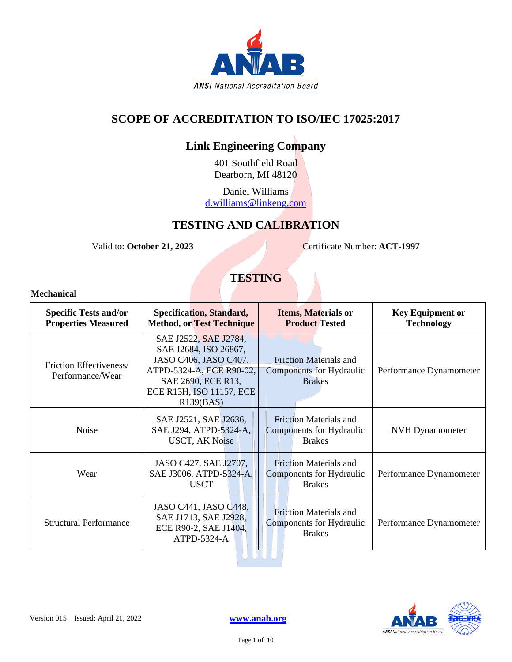

# **SCOPE OF ACCREDITATION TO ISO/IEC 17025:2017**

# **Link Engineering Company**

401 Southfield Road Dearborn, MI 48120

Daniel Williams [d.williams@linkeng.com](mailto:d.williams@linkeng.com)

## **TESTING AND CALIBRATION**

Valid to: **October 21, 2023** Certificate Number: **ACT-1997** 

# **TESTING**

| <b>Specific Tests and/or</b><br><b>Properties Measured</b> | <b>Specification, Standard,</b><br><b>Method, or Test Technique</b>                                                                                                | <b>Items, Materials or</b><br><b>Product Tested</b>                        | <b>Key Equipment or</b><br><b>Technology</b> |
|------------------------------------------------------------|--------------------------------------------------------------------------------------------------------------------------------------------------------------------|----------------------------------------------------------------------------|----------------------------------------------|
| Friction Effectiveness/<br>Performance/Wear                | SAE J2522, SAE J2784,<br>SAE J2684, ISO 26867,<br>JASO C406, JASO C407,<br>ATPD-5324-A, ECE R90-02,<br>SAE 2690, ECE R13,<br>ECE R13H, ISO 11157, ECE<br>R139(BAS) | <b>Friction Materials and</b><br>Components for Hydraulic<br><b>Brakes</b> | Performance Dynamometer                      |
| Noise                                                      | SAE J2521, SAE J2636,<br>SAE J294, ATPD-5324-A,<br><b>USCT, AK Noise</b>                                                                                           | <b>Friction Materials and</b><br>Components for Hydraulic<br><b>Brakes</b> | <b>NVH</b> Dynamometer                       |
| Wear                                                       | JASO C427, SAE J2707,<br>SAE J3006, ATPD-5324-A,<br><b>USCT</b>                                                                                                    | <b>Friction Materials and</b><br>Components for Hydraulic<br><b>Brakes</b> | Performance Dynamometer                      |
| Structural Performance                                     | JASO C441, JASO C448,<br>SAE J1713, SAE J2928,<br>ECE R90-2, SAE J1404,<br>ATPD-5324-A                                                                             | <b>Friction Materials and</b><br>Components for Hydraulic<br><b>Brakes</b> | Performance Dynamometer                      |

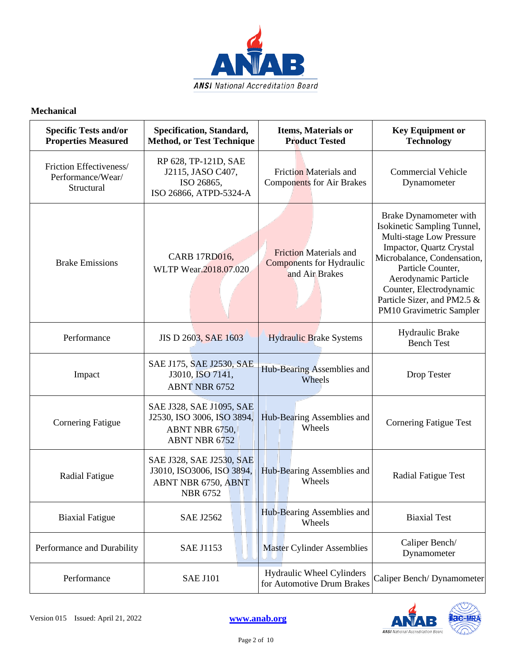

| <b>Specific Tests and/or</b><br><b>Properties Measured</b> | Specification, Standard,<br><b>Method, or Test Technique</b>                                     | Items, Materials or<br><b>Product Tested</b>                                       | <b>Key Equipment or</b><br><b>Technology</b>                                                                                                                                                                                                                                    |
|------------------------------------------------------------|--------------------------------------------------------------------------------------------------|------------------------------------------------------------------------------------|---------------------------------------------------------------------------------------------------------------------------------------------------------------------------------------------------------------------------------------------------------------------------------|
| Friction Effectiveness/<br>Performance/Wear/<br>Structural | RP 628, TP-121D, SAE<br>J2115, JASO C407,<br>ISO 26865,<br>ISO 26866, ATPD-5324-A                | <b>Friction Materials and</b><br><b>Components</b> for Air Brakes                  | <b>Commercial Vehicle</b><br>Dynamometer                                                                                                                                                                                                                                        |
| <b>Brake Emissions</b>                                     | <b>CARB 17RD016,</b><br>WLTP Wear.2018.07.020                                                    | <b>Friction Materials and</b><br><b>Components for Hydraulic</b><br>and Air Brakes | Brake Dynamometer with<br>Isokinetic Sampling Tunnel,<br>Multi-stage Low Pressure<br>Impactor, Quartz Crystal<br>Microbalance, Condensation,<br>Particle Counter,<br>Aerodynamic Particle<br>Counter, Electrodynamic<br>Particle Sizer, and PM2.5 &<br>PM10 Gravimetric Sampler |
| Performance                                                | JIS D 2603, SAE 1603                                                                             | <b>Hydraulic Brake Systems</b>                                                     | Hydraulic Brake<br><b>Bench Test</b>                                                                                                                                                                                                                                            |
| Impact                                                     | SAE J175, SAE J2530, SAE<br>J3010, ISO 7141,<br><b>ABNT NBR 6752</b>                             | Hub-Bearing Assemblies and<br>Wheels                                               | Drop Tester                                                                                                                                                                                                                                                                     |
| <b>Cornering Fatigue</b>                                   | SAE J328, SAE J1095, SAE<br>J2530, ISO 3006, ISO 3894,<br>ABNT NBR 6750,<br><b>ABNT NBR 6752</b> | Hub-Bearing Assemblies and<br>Wheels                                               | <b>Cornering Fatigue Test</b>                                                                                                                                                                                                                                                   |
| Radial Fatigue                                             | SAE J328, SAE J2530, SAE<br>J3010, ISO3006, ISO 3894,<br>ABNT NBR 6750, ABNT<br><b>NBR 6752</b>  | Hub-Bearing Assemblies and<br>Wheels                                               | Radial Fatigue Test                                                                                                                                                                                                                                                             |
| <b>Biaxial Fatigue</b>                                     | <b>SAE J2562</b>                                                                                 | Hub-Bearing Assemblies and<br>Wheels                                               | <b>Biaxial Test</b>                                                                                                                                                                                                                                                             |
| Performance and Durability                                 | <b>SAE J1153</b>                                                                                 | <b>Master Cylinder Assemblies</b>                                                  | Caliper Bench/<br>Dynamometer                                                                                                                                                                                                                                                   |
| Performance                                                | <b>SAE J101</b>                                                                                  | Hydraulic Wheel Cylinders<br>for Automotive Drum Brakes                            | Caliper Bench/Dynamometer                                                                                                                                                                                                                                                       |

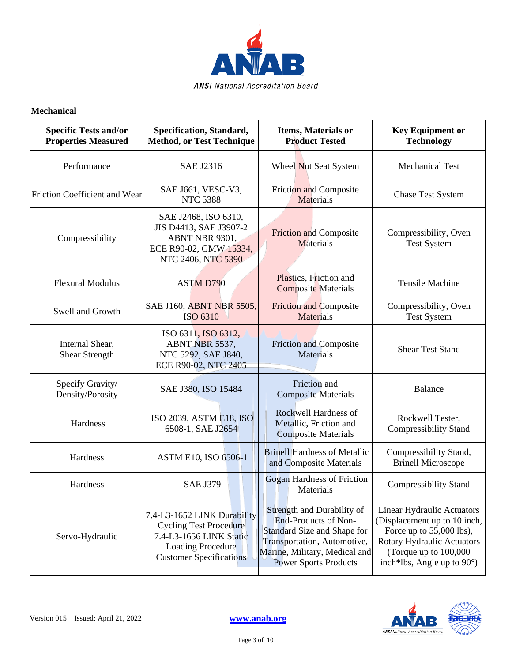

| <b>Specific Tests and/or</b><br><b>Properties Measured</b> | Specification, Standard,<br><b>Method, or Test Technique</b>                                                                                          | <b>Items, Materials or</b><br><b>Product Tested</b>                                                                                                                               | <b>Key Equipment or</b><br><b>Technology</b>                                                                                                                                |
|------------------------------------------------------------|-------------------------------------------------------------------------------------------------------------------------------------------------------|-----------------------------------------------------------------------------------------------------------------------------------------------------------------------------------|-----------------------------------------------------------------------------------------------------------------------------------------------------------------------------|
| Performance                                                | <b>SAE J2316</b>                                                                                                                                      | Wheel Nut Seat System                                                                                                                                                             | <b>Mechanical Test</b>                                                                                                                                                      |
| Friction Coefficient and Wear                              | SAE J661, VESC-V3,<br><b>NTC 5388</b>                                                                                                                 | Friction and Composite<br>Materials                                                                                                                                               | <b>Chase Test System</b>                                                                                                                                                    |
| Compressibility                                            | SAE J2468, ISO 6310,<br>JIS D4413, SAE J3907-2<br>ABNT NBR 9301,<br>ECE R90-02, GMW 15334,<br>NTC 2406, NTC 5390                                      | <b>Friction and Composite</b><br><b>Materials</b>                                                                                                                                 | Compressibility, Oven<br><b>Test System</b>                                                                                                                                 |
| <b>Flexural Modulus</b>                                    | <b>ASTM D790</b>                                                                                                                                      | Plastics, Friction and<br><b>Composite Materials</b>                                                                                                                              | <b>Tensile Machine</b>                                                                                                                                                      |
| Swell and Growth                                           | SAE J160, ABNT NBR 5505,<br>ISO 6310                                                                                                                  | <b>Friction and Composite</b><br>Materials                                                                                                                                        | Compressibility, Oven<br><b>Test System</b>                                                                                                                                 |
| Internal Shear,<br><b>Shear Strength</b>                   | ISO 6311, ISO 6312,<br>ABNT NBR 5537,<br>NTC 5292, SAE J840,<br>ECE R90-02, NTC-2405                                                                  | <b>Friction and Composite</b><br>Materials                                                                                                                                        | <b>Shear Test Stand</b>                                                                                                                                                     |
| Specify Gravity/<br>Density/Porosity                       | SAE J380, ISO 15484                                                                                                                                   | Friction and<br><b>Composite Materials</b>                                                                                                                                        | <b>Balance</b>                                                                                                                                                              |
| Hardness                                                   | ISO 2039, ASTM E18, ISO<br>6508-1, SAE J2654                                                                                                          | Rockwell Hardness of<br>Metallic, Friction and<br><b>Composite Materials</b>                                                                                                      | Rockwell Tester,<br><b>Compressibility Stand</b>                                                                                                                            |
| Hardness                                                   | <b>ASTM E10, ISO 6506-1</b>                                                                                                                           | <b>Brinell Hardness of Metallic</b><br>and Composite Materials                                                                                                                    | Compressibility Stand,<br><b>Brinell Microscope</b>                                                                                                                         |
| Hardness                                                   | <b>SAE J379</b>                                                                                                                                       | <b>Gogan Hardness of Friction</b><br>Materials                                                                                                                                    | <b>Compressibility Stand</b>                                                                                                                                                |
| Servo-Hydraulic                                            | 7.4-L3-1652 LINK Durability<br><b>Cycling Test Procedure</b><br>7.4-L3-1656 LINK Static<br><b>Loading Procedure</b><br><b>Customer Specifications</b> | Strength and Durability of<br>End-Products of Non-<br>Standard Size and Shape for<br>Transportation, Automotive,<br>Marine, Military, Medical and<br><b>Power Sports Products</b> | Linear Hydraulic Actuators<br>(Displacement up to 10 inch,<br>Force up to 55,000 lbs),<br>Rotary Hydraulic Actuators<br>(Torque up to 100,000<br>inch*lbs, Angle up to 90°) |

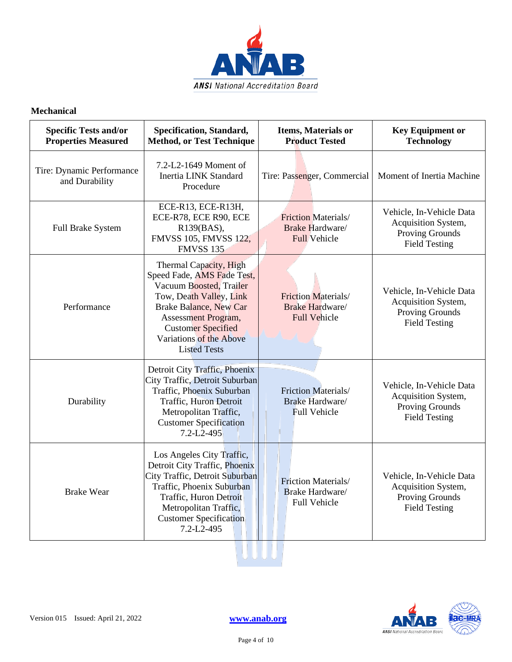

| <b>Specific Tests and/or</b><br><b>Properties Measured</b> | Specification, Standard,<br><b>Method, or Test Technique</b>                                                                                                                                                                                      | Items, Materials or<br><b>Product Tested</b>                                 | <b>Key Equipment or</b><br><b>Technology</b>                                               |
|------------------------------------------------------------|---------------------------------------------------------------------------------------------------------------------------------------------------------------------------------------------------------------------------------------------------|------------------------------------------------------------------------------|--------------------------------------------------------------------------------------------|
| Tire: Dynamic Performance<br>and Durability                | 7.2-L2-1649 Moment of<br><b>Inertia LINK Standard</b><br>Procedure                                                                                                                                                                                | Tire: Passenger, Commercial                                                  | Moment of Inertia Machine                                                                  |
| Full Brake System                                          | ECE-R13, ECE-R13H,<br>ECE-R78, ECE R90, ECE<br>R139(BAS),<br>FMVSS 105, FMVSS 122,<br><b>FMVSS 135</b>                                                                                                                                            | Friction Materials/<br>Brake Hardware/<br><b>Full Vehicle</b>                | Vehicle, In-Vehicle Data<br>Acquisition System,<br>Proving Grounds<br><b>Field Testing</b> |
| Performance                                                | Thermal Capacity, High<br>Speed Fade, AMS Fade Test,<br>Vacuum Boosted, Trailer<br>Tow, Death Valley, Link<br><b>Brake Balance, New Car</b><br>Assessment Program,<br><b>Customer Specified</b><br>Variations of the Above<br><b>Listed Tests</b> | <b>Friction Materials/</b><br><b>Brake Hardware</b> /<br><b>Full Vehicle</b> | Vehicle, In-Vehicle Data<br>Acquisition System,<br>Proving Grounds<br><b>Field Testing</b> |
| Durability                                                 | Detroit City Traffic, Phoenix<br>City Traffic, Detroit Suburban<br>Traffic, Phoenix Suburban<br>Traffic, Huron Detroit<br>Metropolitan Traffic,<br><b>Customer Specification</b><br>$7.2 - L2 - 495$                                              | Friction Materials/<br>Brake Hardware/<br><b>Full Vehicle</b>                | Vehicle, In-Vehicle Data<br>Acquisition System,<br>Proving Grounds<br><b>Field Testing</b> |
| <b>Brake Wear</b>                                          | Los Angeles City Traffic,<br>Detroit City Traffic, Phoenix<br>City Traffic, Detroit Suburban<br>Traffic, Phoenix Suburban<br>Traffic, Huron Detroit<br>Metropolitan Traffic,<br><b>Customer Specification</b><br>7.2-L2-495                       | Friction Materials/<br><b>Brake Hardware/</b><br><b>Full Vehicle</b>         | Vehicle, In-Vehicle Data<br>Acquisition System,<br>Proving Grounds<br><b>Field Testing</b> |

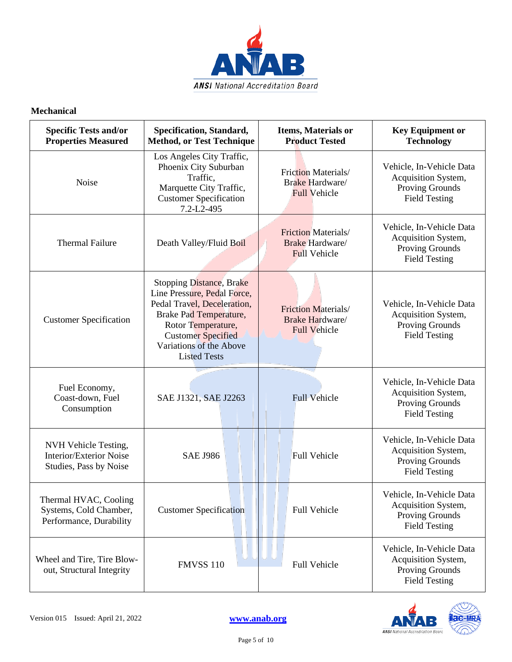

| <b>Specific Tests and/or</b><br><b>Properties Measured</b>                 | Specification, Standard,<br><b>Method, or Test Technique</b>                                                                                                                                                                  | Items, Materials or<br><b>Product Tested</b>                                | <b>Key Equipment or</b><br><b>Technology</b>                                                      |
|----------------------------------------------------------------------------|-------------------------------------------------------------------------------------------------------------------------------------------------------------------------------------------------------------------------------|-----------------------------------------------------------------------------|---------------------------------------------------------------------------------------------------|
| <b>Noise</b>                                                               | Los Angeles City Traffic,<br>Phoenix City Suburban<br>Traffic,<br>Marquette City Traffic,<br><b>Customer Specification</b><br>7.2-L2-495                                                                                      | <b>Friction Materials/</b><br><b>Brake Hardware/</b><br><b>Full Vehicle</b> | Vehicle, In-Vehicle Data<br>Acquisition System,<br>Proving Grounds<br><b>Field Testing</b>        |
| <b>Thermal Failure</b>                                                     | Death Valley/Fluid Boil                                                                                                                                                                                                       | <b>Friction Materials/</b><br>Brake Hardware/<br><b>Full Vehicle</b>        | Vehicle, In-Vehicle Data<br>Acquisition System,<br>Proving Grounds<br><b>Field Testing</b>        |
| <b>Customer Specification</b>                                              | <b>Stopping Distance</b> , Brake<br>Line Pressure, Pedal Force,<br>Pedal Travel, Deceleration,<br>Brake Pad Temperature,<br>Rotor Temperature,<br><b>Customer Specified</b><br>Variations of the Above<br><b>Listed Tests</b> | <b>Friction Materials/</b><br>Brake Hardware/<br><b>Full Vehicle</b>        | Vehicle, In-Vehicle Data<br>Acquisition System,<br><b>Proving Grounds</b><br><b>Field Testing</b> |
| Fuel Economy,<br>Coast-down, Fuel<br>Consumption                           | SAE J1321, SAE J2263                                                                                                                                                                                                          | Full-Vehicle                                                                | Vehicle, In-Vehicle Data<br>Acquisition System,<br>Proving Grounds<br><b>Field Testing</b>        |
| NVH Vehicle Testing,<br>Interior/Exterior Noise<br>Studies, Pass by Noise  | <b>SAE J986</b>                                                                                                                                                                                                               | Full Vehicle                                                                | Vehicle, In-Vehicle Data<br>Acquisition System,<br>Proving Grounds<br><b>Field Testing</b>        |
| Thermal HVAC, Cooling<br>Systems, Cold Chamber,<br>Performance, Durability | <b>Customer Specification</b>                                                                                                                                                                                                 | <b>Full Vehicle</b>                                                         | Vehicle, In-Vehicle Data<br>Acquisition System,<br>Proving Grounds<br><b>Field Testing</b>        |
| Wheel and Tire, Tire Blow-<br>out, Structural Integrity                    | <b>FMVSS 110</b>                                                                                                                                                                                                              | Full Vehicle                                                                | Vehicle, In-Vehicle Data<br>Acquisition System,<br>Proving Grounds<br><b>Field Testing</b>        |



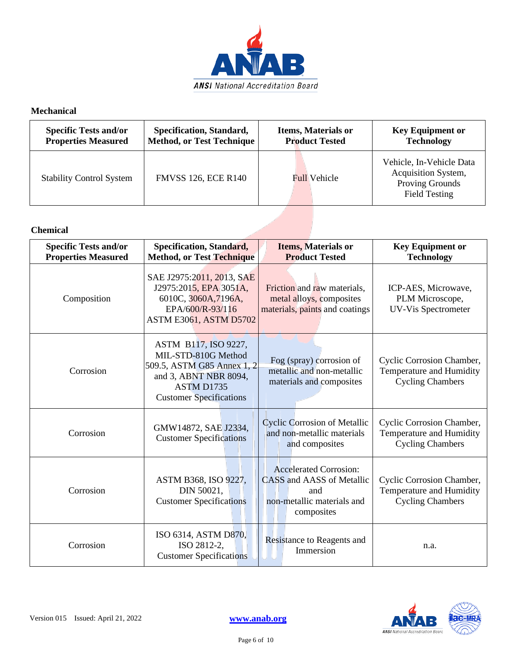

| <b>Specific Tests and/or</b>    | Specification, Standard,   | <b>Items, Materials or</b> | <b>Key Equipment or</b>                                                                    |
|---------------------------------|----------------------------|----------------------------|--------------------------------------------------------------------------------------------|
| <b>Properties Measured</b>      | Method, or Test Technique  | <b>Product Tested</b>      | <b>Technology</b>                                                                          |
| <b>Stability Control System</b> | <b>FMVSS 126, ECE R140</b> | <b>Full</b> Vehicle        | Vehicle, In-Vehicle Data<br>Acquisition System,<br>Proving Grounds<br><b>Field Testing</b> |

## **Chemical**

| <b>Specific Tests and/or</b><br><b>Properties Measured</b> | <b>Specification, Standard,</b><br><b>Method, or Test Technique</b>                                                                                       | <b>Items, Materials or</b><br><b>Product Tested</b>                                                           | <b>Key Equipment or</b><br><b>Technology</b>                                     |
|------------------------------------------------------------|-----------------------------------------------------------------------------------------------------------------------------------------------------------|---------------------------------------------------------------------------------------------------------------|----------------------------------------------------------------------------------|
| Composition                                                | SAE J2975:2011, 2013, SAE<br>J2975:2015, EPA 3051A,<br>6010C, 3060A, 7196A,<br>EPA/600/R-93/116<br>ASTM E3061, ASTM D5702                                 | Friction and raw materials,<br>metal alloys, composites<br>materials, paints and coatings                     | ICP-AES, Microwave,<br>PLM Microscope,<br><b>UV-Vis Spectrometer</b>             |
| Corrosion                                                  | ASTM B117, ISO 9227,<br>MIL-STD-810G Method<br>509.5, ASTM G85 Annex 1, 2<br>and 3, ABNT NBR 8094,<br><b>ASTM D1735</b><br><b>Customer Specifications</b> | Fog (spray) corrosion of<br>metallic and non-metallic<br>materials and composites                             | Cyclic Corrosion Chamber,<br>Temperature and Humidity<br><b>Cycling Chambers</b> |
| Corrosion                                                  | GMW14872, SAE J2334,<br><b>Customer Specifications</b>                                                                                                    | <b>Cyclic Corrosion of Metallic</b><br>and non-metallic materials<br>and composites                           | Cyclic Corrosion Chamber,<br>Temperature and Humidity<br><b>Cycling Chambers</b> |
| Corrosion                                                  | ASTM B368, ISO 9227,<br>DIN 50021,<br><b>Customer Specifications</b>                                                                                      | <b>Accelerated Corrosion:</b><br>CASS and AASS of Metallic<br>and<br>non-metallic materials and<br>composites | Cyclic Corrosion Chamber,<br>Temperature and Humidity<br><b>Cycling Chambers</b> |
| Corrosion                                                  | ISO 6314, ASTM D870,<br>ISO 2812-2,<br><b>Customer Specifications</b>                                                                                     | Resistance to Reagents and<br>Immersion                                                                       | n.a.                                                                             |



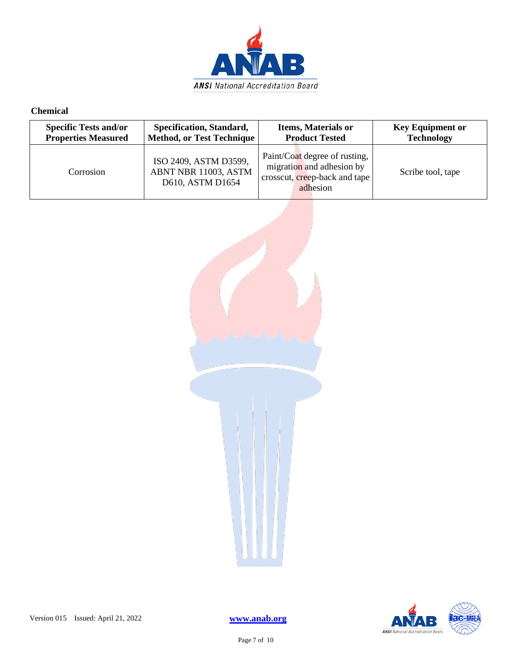

## **Chemical**

| <b>Specific Tests and/or</b> | Specification, Standard,                                          | <b>Items, Materials or</b>                                                                                      | <b>Key Equipment or</b> |
|------------------------------|-------------------------------------------------------------------|-----------------------------------------------------------------------------------------------------------------|-------------------------|
| <b>Properties Measured</b>   | <b>Method, or Test Technique</b>                                  | <b>Product Tested</b>                                                                                           | <b>Technology</b>       |
| Corrosion                    | ISO 2409, ASTM D3599,<br>ABNT NBR 11003, ASTM<br>D610, ASTM D1654 | Paint/Coat degree of rusting,<br>migration and adhesion by<br>crosscut, <b>creep</b> -back and tape<br>adhesion | Scribe tool, tape       |

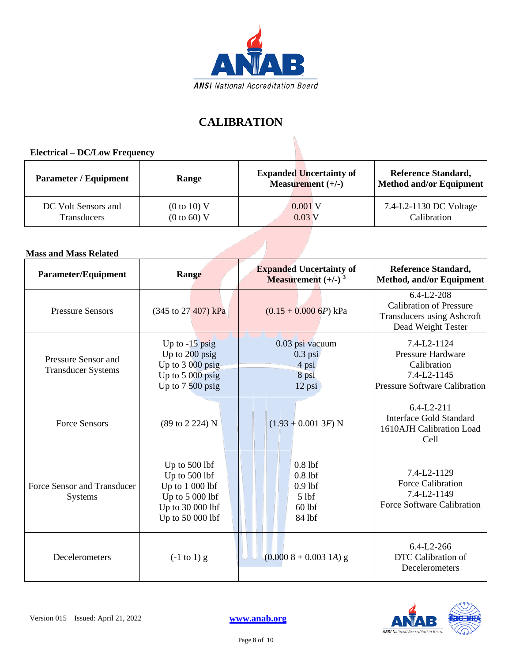

# **CALIBRATION**

## **Electrical – DC/Low Frequency**

| <b>Parameter / Equipment</b> | Range                  | <b>Expanded Uncertainty of</b><br>Measurement $(+/-)$ | <b>Reference Standard,</b><br><b>Method and/or Equipment</b> |
|------------------------------|------------------------|-------------------------------------------------------|--------------------------------------------------------------|
| DC Volt Sensors and          | (0 to 10) V            | $0.001$ V                                             | 7.4-L2-1130 DC Voltage                                       |
| Transducers                  | $(0 \text{ to } 60)$ V | $0.03$ V                                              | Calibration                                                  |

### **Mass and Mass Related**

| <b>Mass and Mass Related</b>                     |                                                                                                                |                                                                             |                                                                                                               |
|--------------------------------------------------|----------------------------------------------------------------------------------------------------------------|-----------------------------------------------------------------------------|---------------------------------------------------------------------------------------------------------------|
| <b>Parameter/Equipment</b>                       | Range                                                                                                          | <b>Expanded Uncertainty of</b><br>Measurement $(+/-)$ <sup>3</sup>          | <b>Reference Standard,</b><br><b>Method, and/or Equipment</b>                                                 |
| <b>Pressure Sensors</b>                          | (345 to 27 407) kPa                                                                                            | $(0.15 + 0.0006P)$ kPa                                                      | $6.4 - L2 - 208$<br><b>Calibration of Pressure</b><br><b>Transducers using Ashcroft</b><br>Dead Weight Tester |
| Pressure Sensor and<br><b>Transducer Systems</b> | Up to $-15$ psig<br>Up to 200 psig<br>Up to 3 000 psig<br>Up to 5 000 psig<br>Up to $7500$ psig                | 0.03 psi vacuum<br>$0.3$ psi<br>4 psi<br>8 psi<br>12 psi                    | 7.4-L2-1124<br><b>Pressure Hardware</b><br>Calibration<br>7.4-L2-1145<br><b>Pressure Software Calibration</b> |
| <b>Force Sensors</b>                             | (89 to 2 224) N                                                                                                | $(1.93 + 0.001 3F) N$                                                       | $6.4 - L2 - 211$<br><b>Interface Gold Standard</b><br>1610AJH Calibration Load<br>Cell                        |
| Force Sensor and Transducer<br>Systems           | Up to 500 lbf<br>Up to 500 lbf<br>Up to $1000$ lbf<br>Up to $5000$ lbf<br>Up to 30 000 lbf<br>Up to 50 000 lbf | $0.8$ lbf<br>$0.8$ lbf<br>$0.9$ lbf<br>5 <sub>1</sub><br>$60$ lbf<br>84 lbf | 7.4-L2-1129<br><b>Force Calibration</b><br>7.4-L2-1149<br>Force Software Calibration                          |
| Decelerometers                                   | $(-1 \text{ to } 1)$ g                                                                                         | $(0.0008 + 0.0031A)$ g                                                      | $6.4 - L2 - 266$<br>DTC Calibration of<br>Decelerometers                                                      |

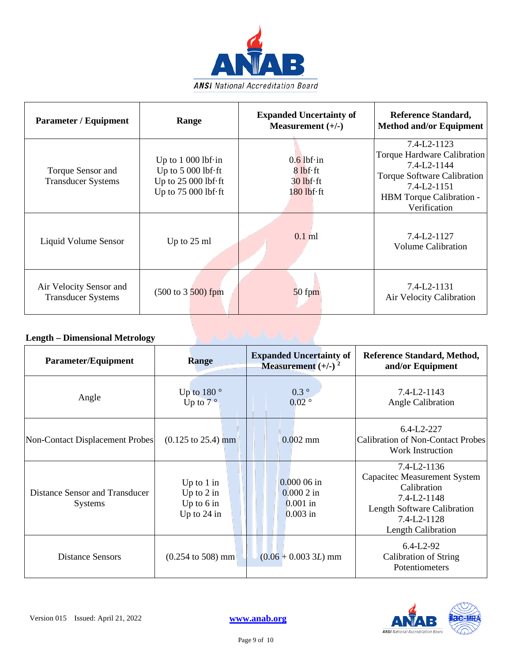

| <b>Parameter / Equipment</b>                         | Range                                                                                                             | <b>Expanded Uncertainty of</b><br>Measurement $(+/-)$                                     | <b>Reference Standard,</b><br><b>Method and/or Equipment</b>                                                                                              |
|------------------------------------------------------|-------------------------------------------------------------------------------------------------------------------|-------------------------------------------------------------------------------------------|-----------------------------------------------------------------------------------------------------------------------------------------------------------|
| Torque Sensor and<br><b>Transducer Systems</b>       | Up to $1000$ lbf $\cdot$ in<br>Up to $5000$ lbf $\cdot$ ft<br>Up to 25 000 lbf·ft<br>Up to $75000$ lbf $\cdot$ ft | $0.6$ lbf $\cdot$ in<br>$8$ lbf $\cdot$ ft<br>$30$ lbf $\cdot$ ft<br>$180$ lbf $\cdot$ ft | $7.4 - L2 - 1123$<br>Torque Hardware Calibration<br>7.4-L2-1144<br>Torque Software Calibration<br>7.4-L2-1151<br>HBM Torque Calibration -<br>Verification |
| Liquid Volume Sensor                                 | Up to 25 ml                                                                                                       | $0.1$ ml                                                                                  | 7.4-L2-1127<br><b>Volume Calibration</b>                                                                                                                  |
| Air Velocity Sensor and<br><b>Transducer Systems</b> | $(500 \text{ to } 3500)$ fpm                                                                                      | $50$ fpm                                                                                  | 7.4-L2-1131<br>Air Velocity Calibration                                                                                                                   |

## **Length – Dimensional Metrology**

| <b>Parameter/Equipment</b>                       | <b>Range</b>                                                  | <b>Expanded Uncertainty of</b><br>Measurement $(+/-)$ <sup>2</sup> | Reference Standard, Method,<br>and/or Equipment                                                                                                      |
|--------------------------------------------------|---------------------------------------------------------------|--------------------------------------------------------------------|------------------------------------------------------------------------------------------------------------------------------------------------------|
| Angle                                            | Up to 180 $^{\circ}$<br>Up to $7^{\circ}$                     | $0.3\degree$<br>$0.02$ <sup>o</sup>                                | $7.4 - L2 - 1143$<br>Angle Calibration                                                                                                               |
| <b>Non-Contact Displacement Probes</b>           | $(0.125 \text{ to } 25.4) \text{ mm}$                         | $0.002$ mm                                                         | $6.4 - L2 - 227$<br><b>Calibration of Non-Contact Probes</b><br><b>Work Instruction</b>                                                              |
| Distance Sensor and Transducer<br><b>Systems</b> | Up to $1$ in<br>Up to $2$ in<br>Up to $6$ in<br>Up to $24$ in | $0.00006$ in<br>$0.0002$ in<br>$0.001$ in<br>$0.003$ in            | 7.4-L2-1136<br><b>Capacitec Measurement System</b><br>Calibration<br>7.4-L2-1148<br>Length Software Calibration<br>7.4-L2-1128<br>Length Calibration |
| <b>Distance Sensors</b>                          | $(0.254 \text{ to } 508) \text{ mm}$                          | $(0.06 + 0.003 3L)$ mm                                             | $6.4 - L2 - 92$<br>Calibration of String<br>Potentiometers                                                                                           |